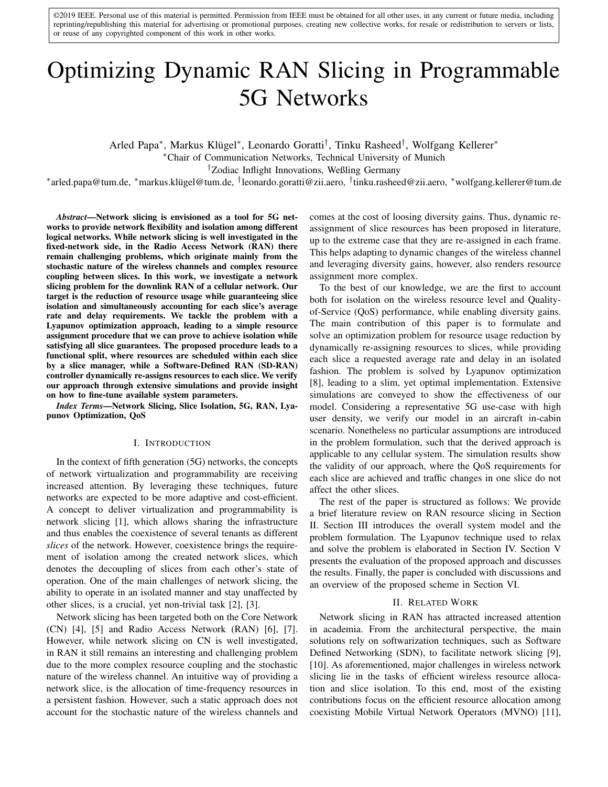©2019 IEEE. Personal use of this material is permitted. Permission from IEEE must be obtained for all other uses, in any current or future media, including reprinting/republishing this material for advertising or promotional purposes, creating new collective works, for resale or redistribution to servers or lists, or reuse of any copyrighted component of this work in other works.

# Optimizing Dynamic RAN Slicing in Programmable 5G Networks

Arled Papa\*, Markus Klügel\*, Leonardo Goratti<sup>†</sup>, Tinku Rasheed<sup>†</sup>, Wolfgang Kellerer\* <sup>∗</sup>Chair of Communication Networks, Technical University of Munich †Zodiac Inflight Innovations, Weßling Germany

\*arled.papa@tum.de, \*markus.klügel@tum.de, <sup>†</sup>leonardo.goratti@zii.aero, <sup>†</sup>tinku.rasheed@zii.aero, \*wolfgang.kellerer@tum.de

*Abstract*—Network slicing is envisioned as a tool for 5G networks to provide network flexibility and isolation among different logical networks. While network slicing is well investigated in the fixed-network side, in the Radio Access Network (RAN) there remain challenging problems, which originate mainly from the stochastic nature of the wireless channels and complex resource coupling between slices. In this work, we investigate a network slicing problem for the downlink RAN of a cellular network. Our target is the reduction of resource usage while guaranteeing slice isolation and simultaneously accounting for each slice's average rate and delay requirements. We tackle the problem with a Lyapunov optimization approach, leading to a simple resource assignment procedure that we can prove to achieve isolation while satisfying all slice guarantees. The proposed procedure leads to a functional split, where resources are scheduled within each slice by a slice manager, while a Software-Defined RAN (SD-RAN) controller dynamically re-assigns resources to each slice. We verify our approach through extensive simulations and provide insight on how to fine-tune available system parameters.

*Index Terms*—Network Slicing, Slice Isolation, 5G, RAN, Lyapunov Optimization, QoS

## I. INTRODUCTION

In the context of fifth generation (5G) networks, the concepts of network virtualization and programmability are receiving increased attention. By leveraging these techniques, future networks are expected to be more adaptive and cost-efficient. A concept to deliver virtualization and programmability is network slicing [1], which allows sharing the infrastructure and thus enables the coexistence of several tenants as different *slices* of the network. However, coexistence brings the requirement of isolation among the created network slices, which denotes the decoupling of slices from each other's state of operation. One of the main challenges of network slicing, the ability to operate in an isolated manner and stay unaffected by other slices, is a crucial, yet non-trivial task [2], [3].

Network slicing has been targeted both on the Core Network (CN) [4], [5] and Radio Access Network (RAN) [6], [7]. However, while network slicing on CN is well investigated, in RAN it still remains an interesting and challenging problem due to the more complex resource coupling and the stochastic nature of the wireless channel. An intuitive way of providing a network slice, is the allocation of time-frequency resources in a persistent fashion. However, such a static approach does not account for the stochastic nature of the wireless channels and comes at the cost of loosing diversity gains. Thus, dynamic reassignment of slice resources has been proposed in literature, up to the extreme case that they are re-assigned in each frame. This helps adapting to dynamic changes of the wireless channel and leveraging diversity gains, however, also renders resource assignment more complex.

To the best of our knowledge, we are the first to account both for isolation on the wireless resource level and Qualityof-Service (QoS) performance, while enabling diversity gains. The main contribution of this paper is to formulate and solve an optimization problem for resource usage reduction by dynamically re-assigning resources to slices, while providing each slice a requested average rate and delay in an isolated fashion. The problem is solved by Lyapunov optimization [8], leading to a slim, yet optimal implementation. Extensive simulations are conveyed to show the effectiveness of our model. Considering a representative 5G use-case with high user density, we verify our model in an aircraft in-cabin scenario. Nonetheless no particular assumptions are introduced in the problem formulation, such that the derived approach is applicable to any cellular system. The simulation results show the validity of our approach, where the QoS requirements for each slice are achieved and traffic changes in one slice do not affect the other slices.

The rest of the paper is structured as follows: We provide a brief literature review on RAN resource slicing in Section II. Section III introduces the overall system model and the problem formulation. The Lyapunov technique used to relax and solve the problem is elaborated in Section IV. Section V presents the evaluation of the proposed approach and discusses the results. Finally, the paper is concluded with discussions and an overview of the proposed scheme in Section VI.

#### II. RELATED WORK

Network slicing in RAN has attracted increased attention in academia. From the architectural perspective, the main solutions rely on softwarization techniques, such as Software Defined Networking (SDN), to facilitate network slicing [9], [10]. As aforementioned, major challenges in wireless network slicing lie in the tasks of efficient wireless resource allocation and slice isolation. To this end, most of the existing contributions focus on the efficient resource allocation among coexisting Mobile Virtual Network Operators (MVNO) [11],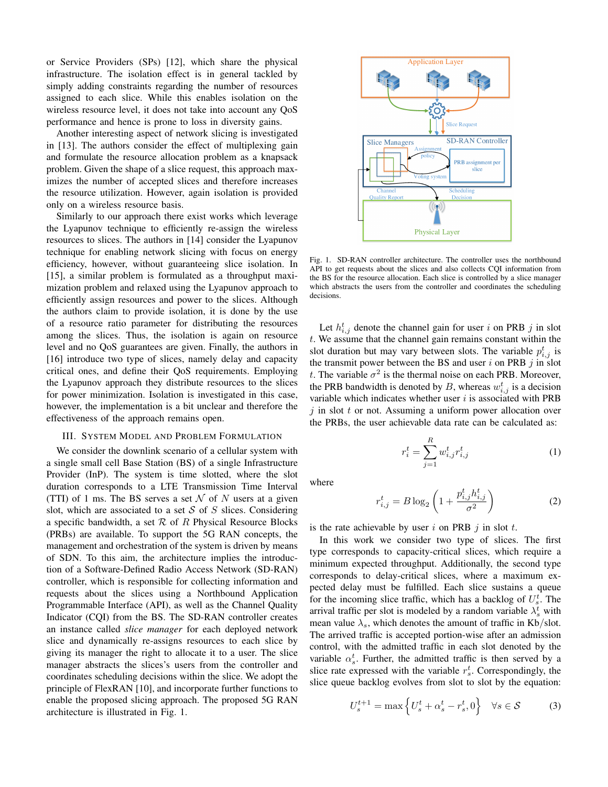or Service Providers (SPs) [12], which share the physical infrastructure. The isolation effect is in general tackled by simply adding constraints regarding the number of resources assigned to each slice. While this enables isolation on the wireless resource level, it does not take into account any QoS performance and hence is prone to loss in diversity gains.

Another interesting aspect of network slicing is investigated in [13]. The authors consider the effect of multiplexing gain and formulate the resource allocation problem as a knapsack problem. Given the shape of a slice request, this approach maximizes the number of accepted slices and therefore increases the resource utilization. However, again isolation is provided only on a wireless resource basis.

Similarly to our approach there exist works which leverage the Lyapunov technique to efficiently re-assign the wireless resources to slices. The authors in [14] consider the Lyapunov technique for enabling network slicing with focus on energy efficiency, however, without guaranteeing slice isolation. In [15], a similar problem is formulated as a throughput maximization problem and relaxed using the Lyapunov approach to efficiently assign resources and power to the slices. Although the authors claim to provide isolation, it is done by the use of a resource ratio parameter for distributing the resources among the slices. Thus, the isolation is again on resource level and no QoS guarantees are given. Finally, the authors in [16] introduce two type of slices, namely delay and capacity critical ones, and define their QoS requirements. Employing the Lyapunov approach they distribute resources to the slices for power minimization. Isolation is investigated in this case, however, the implementation is a bit unclear and therefore the effectiveness of the approach remains open.

## III. SYSTEM MODEL AND PROBLEM FORMULATION

We consider the downlink scenario of a cellular system with a single small cell Base Station (BS) of a single Infrastructure Provider (InP). The system is time slotted, where the slot duration corresponds to a LTE Transmission Time Interval (TTI) of 1 ms. The BS serves a set  $\mathcal N$  of N users at a given slot, which are associated to a set  $S$  of  $S$  slices. Considering a specific bandwidth, a set  $R$  of R Physical Resource Blocks (PRBs) are available. To support the 5G RAN concepts, the management and orchestration of the system is driven by means of SDN. To this aim, the architecture implies the introduction of a Software-Defined Radio Access Network (SD-RAN) controller, which is responsible for collecting information and requests about the slices using a Northbound Application Programmable Interface (API), as well as the Channel Quality Indicator (CQI) from the BS. The SD-RAN controller creates an instance called *slice manager* for each deployed network slice and dynamically re-assigns resources to each slice by giving its manager the right to allocate it to a user. The slice manager abstracts the slices's users from the controller and coordinates scheduling decisions within the slice. We adopt the principle of FlexRAN [10], and incorporate further functions to enable the proposed slicing approach. The proposed 5G RAN architecture is illustrated in Fig. 1.



Fig. 1. SD-RAN controller architecture. The controller uses the northbound API to get requests about the slices and also collects CQI information from the BS for the resource allocation. Each slice is controlled by a slice manager which abstracts the users from the controller and coordinates the scheduling decisions.

Let  $h_{i,j}^t$  denote the channel gain for user i on PRB j in slot t. We assume that the channel gain remains constant within the slot duration but may vary between slots. The variable  $p_{i,j}^{t}$  is the transmit power between the BS and user  $i$  on PRB  $j$  in slot t. The variable  $\sigma^2$  is the thermal noise on each PRB. Moreover, the PRB bandwidth is denoted by B, whereas  $w_{i,j}^t$  is a decision variable which indicates whether user  $i$  is associated with PRB  $j$  in slot  $t$  or not. Assuming a uniform power allocation over the PRBs, the user achievable data rate can be calculated as:

$$
r_i^t = \sum_{j=1}^R w_{i,j}^t r_{i,j}^t
$$
 (1)

where

$$
r_{i,j}^{t} = B \log_2 \left( 1 + \frac{p_{i,j}^{t} h_{i,j}^{t}}{\sigma^2} \right)
$$
 (2)

is the rate achievable by user i on PRB  $j$  in slot  $t$ .

In this work we consider two type of slices. The first type corresponds to capacity-critical slices, which require a minimum expected throughput. Additionally, the second type corresponds to delay-critical slices, where a maximum expected delay must be fulfilled. Each slice sustains a queue for the incoming slice traffic, which has a backlog of  $U_s^t$ . The arrival traffic per slot is modeled by a random variable  $\lambda_s^t$  with mean value  $\lambda_s$ , which denotes the amount of traffic in Kb/slot. The arrived traffic is accepted portion-wise after an admission control, with the admitted traffic in each slot denoted by the variable  $\alpha_s^t$ . Further, the admitted traffic is then served by a slice rate expressed with the variable  $r_s^t$ . Correspondingly, the slice queue backlog evolves from slot to slot by the equation:

$$
U_s^{t+1} = \max\left\{U_s^t + \alpha_s^t - r_s^t, 0\right\} \quad \forall s \in \mathcal{S} \tag{3}
$$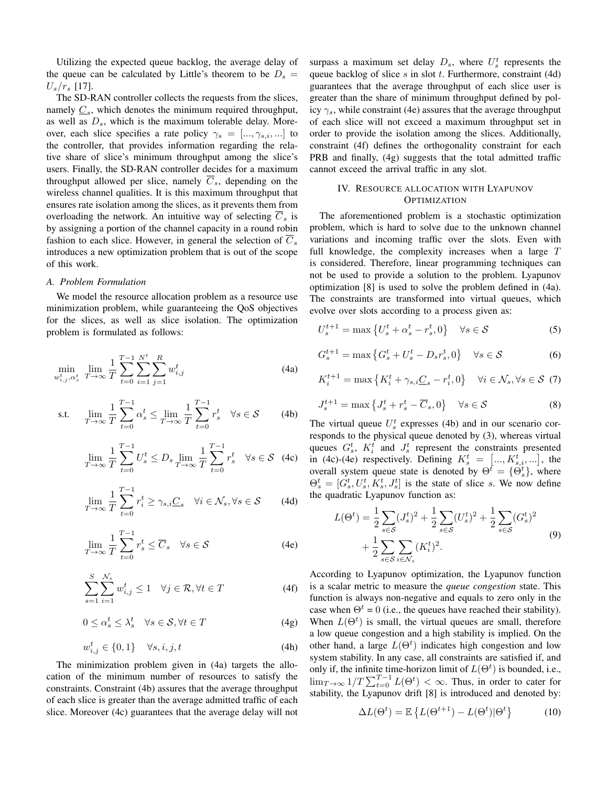Utilizing the expected queue backlog, the average delay of the queue can be calculated by Little's theorem to be  $D_s =$  $U_s/r_s$  [17].

The SD-RAN controller collects the requests from the slices, namely  $C_s$ , which denotes the minimum required throughput, as well as  $D_s$ , which is the maximum tolerable delay. Moreover, each slice specifies a rate policy  $\gamma_s = [\dots, \gamma_{s,i}, \dots]$  to the controller, that provides information regarding the relative share of slice's minimum throughput among the slice's users. Finally, the SD-RAN controller decides for a maximum throughput allowed per slice, namely  $\overline{C}_s$ , depending on the wireless channel qualities. It is this maximum throughput that ensures rate isolation among the slices, as it prevents them from overloading the network. An intuitive way of selecting  $\overline{C}_s$  is by assigning a portion of the channel capacity in a round robin fashion to each slice. However, in general the selection of  $\overline{C}_s$ introduces a new optimization problem that is out of the scope of this work.

## *A. Problem Formulation*

We model the resource allocation problem as a resource use minimization problem, while guaranteeing the QoS objectives for the slices, as well as slice isolation. The optimization problem is formulated as follows:

$$
\min_{w_{i,j}^t, \alpha_s^t} \lim_{T \to \infty} \frac{1}{T} \sum_{t=0}^{T-1} \sum_{i=1}^{N^t} \sum_{j=1}^R w_{i,j}^t
$$
\n(4a)

$$
\text{s.t.} \quad \lim_{T \to \infty} \frac{1}{T} \sum_{t=0}^{T-1} \alpha_s^t \le \lim_{T \to \infty} \frac{1}{T} \sum_{t=0}^{T-1} r_s^t \quad \forall s \in \mathcal{S} \tag{4b}
$$

$$
\lim_{T \to \infty} \frac{1}{T} \sum_{t=0}^{T-1} U_s^t \le D_s \lim_{T \to \infty} \frac{1}{T} \sum_{t=0}^{T-1} r_s^t \quad \forall s \in \mathcal{S} \quad (4c)
$$

$$
\lim_{T \to \infty} \frac{1}{T} \sum_{t=0}^{T-1} r_i^t \ge \gamma_{s,i} \underline{C}_s \quad \forall i \in \mathcal{N}_s, \forall s \in \mathcal{S}
$$
 (4d)

$$
\lim_{T \to \infty} \frac{1}{T} \sum_{t=0}^{T-1} r_s^t \le \overline{C}_s \quad \forall s \in \mathcal{S}
$$
\n(4e)

$$
\sum_{s=1}^{S} \sum_{i=1}^{N_s} w_{i,j}^t \le 1 \quad \forall j \in \mathcal{R}, \forall t \in T
$$
 (4f)

$$
0 \le \alpha_s^t \le \lambda_s^t \quad \forall s \in \mathcal{S}, \forall t \in T \tag{4g}
$$

$$
w_{i,j}^t \in \{0, 1\} \quad \forall s, i, j, t \tag{4h}
$$

The minimization problem given in (4a) targets the allocation of the minimum number of resources to satisfy the constraints. Constraint (4b) assures that the average throughput of each slice is greater than the average admitted traffic of each slice. Moreover (4c) guarantees that the average delay will not

surpass a maximum set delay  $D_s$ , where  $U_s^t$  represents the queue backlog of slice  $s$  in slot  $t$ . Furthermore, constraint (4d) guarantees that the average throughput of each slice user is greater than the share of minimum throughput defined by policy  $\gamma_s$ , while constraint (4e) assures that the average throughput of each slice will not exceed a maximum throughput set in order to provide the isolation among the slices. Additionally, constraint (4f) defines the orthogonality constraint for each PRB and finally, (4g) suggests that the total admitted traffic cannot exceed the arrival traffic in any slot.

# IV. RESOURCE ALLOCATION WITH LYAPUNOV **OPTIMIZATION**

The aforementioned problem is a stochastic optimization problem, which is hard to solve due to the unknown channel variations and incoming traffic over the slots. Even with full knowledge, the complexity increases when a large T is considered. Therefore, linear programming techniques can not be used to provide a solution to the problem. Lyapunov optimization [8] is used to solve the problem defined in (4a). The constraints are transformed into virtual queues, which evolve over slots according to a process given as:

$$
U_s^{t+1} = \max\left\{U_s^t + \alpha_s^t - r_s^t, 0\right\} \quad \forall s \in \mathcal{S}
$$
 (5)

$$
G_s^{t+1} = \max\left\{G_s^t + U_s^t - D_s r_s^t, 0\right\} \quad \forall s \in \mathcal{S}
$$
 (6)

$$
K_i^{t+1} = \max\left\{K_i^t + \gamma_{s,i} \underline{C}_s - r_i^t, 0\right\} \quad \forall i \in \mathcal{N}_s, \forall s \in \mathcal{S} \tag{7}
$$

$$
J_s^{t+1} = \max \left\{ J_s^t + r_s^t - \overline{C}_s, 0 \right\} \quad \forall s \in \mathcal{S}
$$
 (8)

The virtual queue  $U_s^t$  expresses (4b) and in our scenario corresponds to the physical queue denoted by (3), whereas virtual queues  $G_s^t$ ,  $K_i^t$  and  $J_s^t$  represent the constraints presented in (4c)-(4e) respectively. Defining  $K_s^t = [..., K_{s,i}^t,...],$  the overall system queue state is denoted by  $\Theta^{\tilde{t}} = {\Theta_s^{\tilde{t}}}$ , where  $\Theta_s^t = [G_s^t, U_s^t, K_s^t, J_s^t]$  is the state of slice s. We now define the quadratic Lyapunov function as:

$$
L(\Theta^t) = \frac{1}{2} \sum_{s \in \mathcal{S}} (J_s^t)^2 + \frac{1}{2} \sum_{s \in \mathcal{S}} (U_s^t)^2 + \frac{1}{2} \sum_{s \in \mathcal{S}} (G_s^t)^2 + \frac{1}{2} \sum_{s \in \mathcal{S}} \sum_{i \in \mathcal{N}_s} (K_i^t)^2.
$$
\n(9)

According to Lyapunov optimization, the Lyapunov function is a scalar metric to measure the *queue congestion* state. This function is always non-negative and equals to zero only in the case when  $\Theta^t = 0$  (i.e., the queues have reached their stability). When  $L(\Theta^t)$  is small, the virtual queues are small, therefore a low queue congestion and a high stability is implied. On the other hand, a large  $L(\Theta^t)$  indicates high congestion and low system stability. In any case, all constraints are satisfied if, and only if, the infinite time-horizon limit of  $L(\Theta^t)$  is bounded, i.e.,  $\lim_{T\to\infty} 1/T \sum_{t=0}^{T-1} L(\Theta^t) < \infty$ . Thus, in order to cater for stability, the Lyapunov drift [8] is introduced and denoted by:

$$
\Delta L(\Theta^t) = \mathbb{E}\left\{ L(\Theta^{t+1}) - L(\Theta^t) | \Theta^t \right\} \tag{10}
$$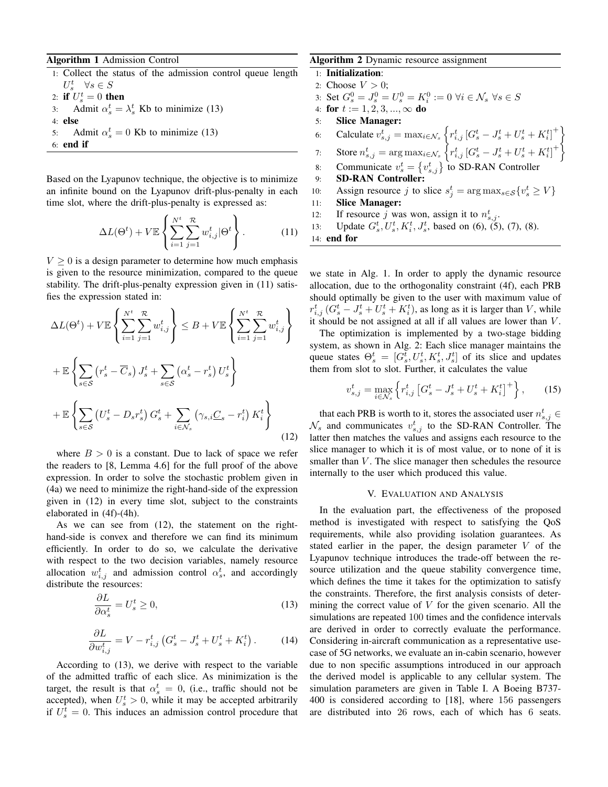# Algorithm 1 Admission Control

- 1: Collect the status of the admission control queue length  $U_s^t \quad \forall s \in S$ 2: if  $U_s^t = 0$  then
- 3: Admit  $\alpha_s^t = \lambda_s^t$  Kb to minimize (13) 4: else
- 5: Admit  $\alpha_s^t = 0$  Kb to minimize (13)
- 6: end if

Based on the Lyapunov technique, the objective is to minimize an infinite bound on the Lyapunov drift-plus-penalty in each time slot, where the drift-plus-penalty is expressed as:

$$
\Delta L(\Theta^t) + V \mathbb{E} \left\{ \sum_{i=1}^{N^t} \sum_{j=1}^{\mathcal{R}} w_{i,j}^t | \Theta^t \right\}.
$$
 (11)

 $V \geq 0$  is a design parameter to determine how much emphasis is given to the resource minimization, compared to the queue stability. The drift-plus-penalty expression given in (11) satisfies the expression stated in:

$$
\Delta L(\Theta^t) + V \mathbb{E} \left\{ \sum_{i=1}^{N^t} \sum_{j=1}^{\mathcal{R}} w_{i,j}^t \right\} \leq B + V \mathbb{E} \left\{ \sum_{i=1}^{N^t} \sum_{j=1}^{\mathcal{R}} w_{i,j}^t \right\}
$$
  
+ 
$$
\mathbb{E} \left\{ \sum_{s \in S} \left( r_s^t - \overline{C}_s \right) J_s^t + \sum_{s \in S} \left( \alpha_s^t - r_s^t \right) U_s^t \right\}
$$
  
+ 
$$
\mathbb{E} \left\{ \sum_{s \in S} \left( U_s^t - D_s r_s^t \right) G_s^t + \sum_{i \in \mathcal{N}_s} \left( \gamma_{s,i} \underline{C}_s - r_i^t \right) K_i^t \right\}
$$
(12)

where  $B > 0$  is a constant. Due to lack of space we refer the readers to [8, Lemma 4.6] for the full proof of the above expression. In order to solve the stochastic problem given in (4a) we need to minimize the right-hand-side of the expression given in (12) in every time slot, subject to the constraints elaborated in (4f)-(4h).

As we can see from (12), the statement on the righthand-side is convex and therefore we can find its minimum efficiently. In order to do so, we calculate the derivative with respect to the two decision variables, namely resource allocation  $w_{i,j}^t$  and admission control  $\alpha_s^t$ , and accordingly distribute the resources:

$$
\frac{\partial L}{\partial \alpha_s^t} = U_s^t \ge 0,\tag{13}
$$

$$
\frac{\partial L}{\partial w_{i,j}^t} = V - r_{i,j}^t \left( G_s^t - J_s^t + U_s^t + K_i^t \right). \tag{14}
$$

According to (13), we derive with respect to the variable of the admitted traffic of each slice. As minimization is the target, the result is that  $\alpha_s^t = 0$ , (i.e., traffic should not be accepted), when  $U_s^t > 0$ , while it may be accepted arbitrarily if  $U_s^t = 0$ . This induces an admission control procedure that

# Algorithm 2 Dynamic resource assignment

- 1: Initialization:
- 2: Choose  $V > 0$ ;
- 3: Set  $G_s^0 = J_s^0 = U_s^0 = K_i^0 := 0 \ \forall i \in \mathcal{N}_s \ \forall s \in S$
- 4: for  $t := 1, 2, 3, ..., \infty$  do
- 5: Slice Manager:
- 6: Calculate  $v_{s,j}^t = \max_{i \in \mathcal{N}_s} \left\{ r_{i,j}^t \left[ G_s^t J_s^t + U_s^t + K_i^t \right]^+ \right\}$
- 7: Store  $n_{s,j}^t = \arg \max_{i \in \mathcal{N}_s} \left\{ r_{i,j}^t \left[ G_s^t J_s^t + U_s^t + K_i^t \right]^+ \right\}$
- 8: Communicate  $v_s^t = \{v_{s,j}^t\}$  to SD-RAN Controller
- 9: SD-RAN Controller:
- 10: Assign resource j to slice  $s_j^t = \arg \max_{s \in \mathcal{S}} \{v_s^t \geq V\}$
- 11: Slice Manager:
- 12: If resource j was won, assign it to  $n_{s,j}^t$ .
- 13: Update  $G_s^t$ ,  $U_s^t$ ,  $K_i^t$ ,  $J_s^t$ , based on (6), (5), (7), (8).

14: end for

we state in Alg. 1. In order to apply the dynamic resource allocation, due to the orthogonality constraint (4f), each PRB should optimally be given to the user with maximum value of  $r_{i,j}^t$  ( $G_s^t$  –  $J_s^t$  +  $U_s^t$  +  $K_i^t$ ), as long as it is larger than V, while it should be not assigned at all if all values are lower than  $V$ .

The optimization is implemented by a two-stage bidding system, as shown in Alg. 2: Each slice manager maintains the queue states  $\Theta_s^t = [G_s^t, U_s^t, K_s^t, J_s^t]$  of its slice and updates them from slot to slot. Further, it calculates the value

$$
v_{s,j}^t = \max_{i \in \mathcal{N}_s} \left\{ r_{i,j}^t \left[ G_s^t - J_s^t + U_s^t + K_i^t \right]^+ \right\},\qquad(15)
$$

that each PRB is worth to it, stores the associated user  $n_{s,j}^t \in$  $\mathcal{N}_s$  and communicates  $v_{s,j}^t$  to the SD-RAN Controller. The latter then matches the values and assigns each resource to the slice manager to which it is of most value, or to none of it is smaller than  $V$ . The slice manager then schedules the resource internally to the user which produced this value.

## V. EVALUATION AND ANALYSIS

In the evaluation part, the effectiveness of the proposed method is investigated with respect to satisfying the QoS requirements, while also providing isolation guarantees. As stated earlier in the paper, the design parameter  $V$  of the Lyapunov technique introduces the trade-off between the resource utilization and the queue stability convergence time, which defines the time it takes for the optimization to satisfy the constraints. Therefore, the first analysis consists of determining the correct value of  $V$  for the given scenario. All the simulations are repeated 100 times and the confidence intervals are derived in order to correctly evaluate the performance. Considering in-aircraft communication as a representative usecase of 5G networks, we evaluate an in-cabin scenario, however due to non specific assumptions introduced in our approach the derived model is applicable to any cellular system. The simulation parameters are given in Table I. A Boeing B737- 400 is considered according to [18], where 156 passengers are distributed into 26 rows, each of which has 6 seats.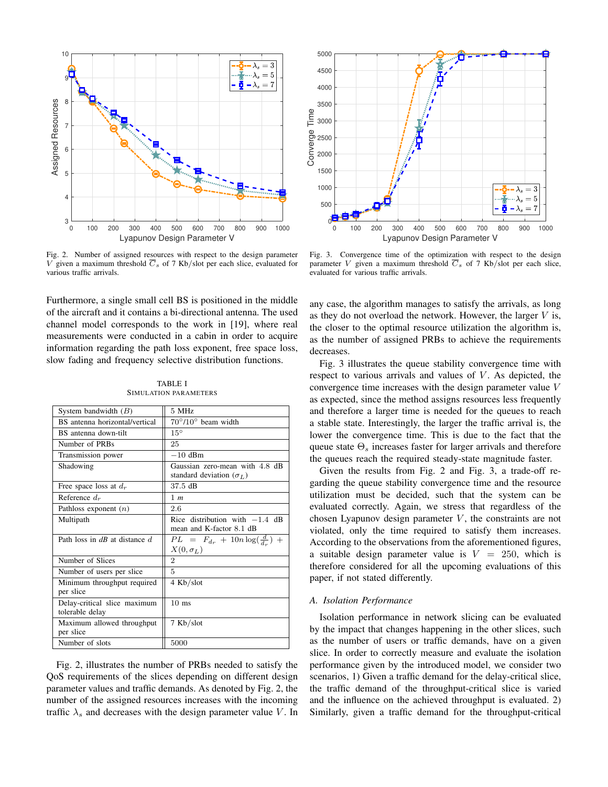

Fig. 2. Number of assigned resources with respect to the design parameter V given a maximum threshold  $\overline{C}_s$  of 7 Kb/slot per each slice, evaluated for various traffic arrivals.

Furthermore, a single small cell BS is positioned in the middle of the aircraft and it contains a bi-directional antenna. The used channel model corresponds to the work in [19], where real measurements were conducted in a cabin in order to acquire information regarding the path loss exponent, free space loss, slow fading and frequency selective distribution functions.

| System bandwidth $(B)$                          | 5 MHz                                                               |
|-------------------------------------------------|---------------------------------------------------------------------|
| BS antenna horizontal/vertical                  | $70^{\circ}/10^{\circ}$ beam width                                  |
| BS antenna down-tilt                            | $15^{\circ}$                                                        |
| Number of PRBs                                  | 25                                                                  |
| Transmission power                              | $-10$ dBm                                                           |
| Shadowing                                       | Gaussian zero-mean with 4.8 dB<br>standard deviation ( $\sigma_L$ ) |
| Free space loss at $d_r$                        | 37.5 dB                                                             |
| Reference $d_r$                                 | 1 <sub>m</sub>                                                      |
| Pathloss exponent $(n)$                         | 2.6                                                                 |
| Multipath                                       | Rice distribution with $-1.4$ dB<br>mean and K-factor 8.1 dB        |
| Path loss in $dB$ at distance $d$               | $PL = F_{d_r} + 10n \log(\frac{d}{d_r}) +$<br>$X(0,\sigma_L)$       |
| Number of Slices                                | $\overline{2}$                                                      |
| Number of users per slice                       | 5                                                                   |
| Minimum throughput required<br>per slice        | $4$ Kb/slot                                                         |
| Delay-critical slice maximum<br>tolerable delay | $10 \text{ ms}$                                                     |
| Maximum allowed throughput<br>per slice         | 7 Kb/slot                                                           |
| Number of slots                                 | 5000                                                                |

TABLE I SIMULATION PARAMETERS

Fig. 2, illustrates the number of PRBs needed to satisfy the QoS requirements of the slices depending on different design parameter values and traffic demands. As denoted by Fig. 2, the number of the assigned resources increases with the incoming traffic  $\lambda_s$  and decreases with the design parameter value V. In



Fig. 3. Convergence time of the optimization with respect to the design parameter V given a maximum threshold  $\overline{C}_s$  of 7 Kb/slot per each slice, evaluated for various traffic arrivals.

any case, the algorithm manages to satisfy the arrivals, as long as they do not overload the network. However, the larger  $V$  is, the closer to the optimal resource utilization the algorithm is, as the number of assigned PRBs to achieve the requirements decreases.

Fig. 3 illustrates the queue stability convergence time with respect to various arrivals and values of  $V$ . As depicted, the convergence time increases with the design parameter value V as expected, since the method assigns resources less frequently and therefore a larger time is needed for the queues to reach a stable state. Interestingly, the larger the traffic arrival is, the lower the convergence time. This is due to the fact that the queue state  $\Theta_s$  increases faster for larger arrivals and therefore the queues reach the required steady-state magnitude faster.

Given the results from Fig. 2 and Fig. 3, a trade-off regarding the queue stability convergence time and the resource utilization must be decided, such that the system can be evaluated correctly. Again, we stress that regardless of the chosen Lyapunov design parameter  $V$ , the constraints are not violated, only the time required to satisfy them increases. According to the observations from the aforementioned figures, a suitable design parameter value is  $V = 250$ , which is therefore considered for all the upcoming evaluations of this paper, if not stated differently.

# *A. Isolation Performance*

Isolation performance in network slicing can be evaluated by the impact that changes happening in the other slices, such as the number of users or traffic demands, have on a given slice. In order to correctly measure and evaluate the isolation performance given by the introduced model, we consider two scenarios, 1) Given a traffic demand for the delay-critical slice, the traffic demand of the throughput-critical slice is varied and the influence on the achieved throughput is evaluated. 2) Similarly, given a traffic demand for the throughput-critical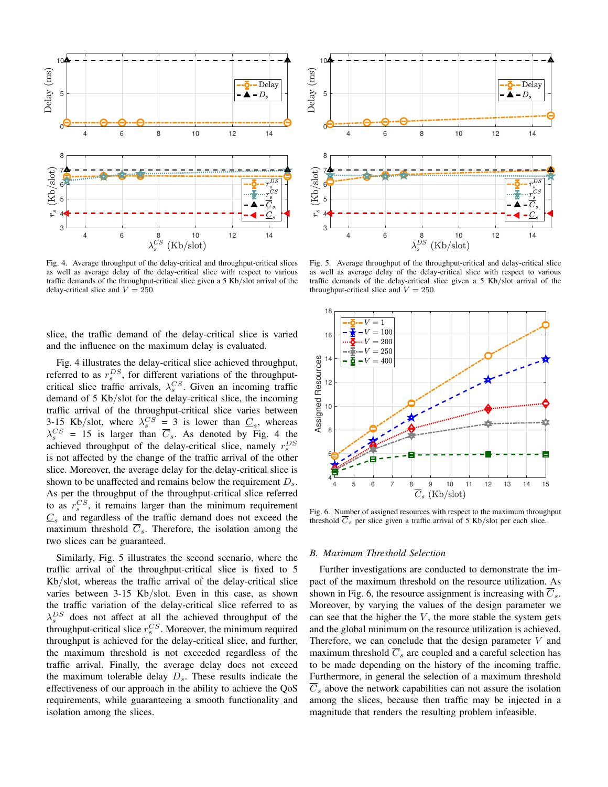

Fig. 4. Average throughput of the delay-critical and throughput-critical slices as well as average delay of the delay-critical slice with respect to various traffic demands of the throughput-critical slice given a 5 Kb/slot arrival of the delay-critical slice and  $V = 250$ .

slice, the traffic demand of the delay-critical slice is varied and the influence on the maximum delay is evaluated.

Fig. 4 illustrates the delay-critical slice achieved throughput, referred to as  $r_s^{DS}$ , for different variations of the throughputcritical slice traffic arrivals,  $\lambda_s^{CS}$ . Given an incoming traffic demand of 5 Kb/slot for the delay-critical slice, the incoming traffic arrival of the throughput-critical slice varies between 3-15 Kb/slot, where  $\lambda_s^{CS} = 3$  is lower than  $C_s$ , whereas  $\lambda_s^{CS}$  = 15 is larger than  $\overline{C}_s$ . As denoted by Fig. 4 the achieved throughput of the delay-critical slice, namely  $r_s^{DS}$ is not affected by the change of the traffic arrival of the other slice. Moreover, the average delay for the delay-critical slice is shown to be unaffected and remains below the requirement  $D_s$ . As per the throughput of the throughput-critical slice referred to as  $r_s^{CS}$ , it remains larger than the minimum requirement  $C_s$  and regardless of the traffic demand does not exceed the maximum threshold  $\overline{C}_s$ . Therefore, the isolation among the two slices can be guaranteed.

Similarly, Fig. 5 illustrates the second scenario, where the traffic arrival of the throughput-critical slice is fixed to 5 Kb/slot, whereas the traffic arrival of the delay-critical slice varies between 3-15 Kb/slot. Even in this case, as shown the traffic variation of the delay-critical slice referred to as  $\lambda_s^{DS}$  does not affect at all the achieved throughput of the throughput-critical slice  $r_s^{CS}$ . Moreover, the minimum required throughput is achieved for the delay-critical slice, and further, the maximum threshold is not exceeded regardless of the traffic arrival. Finally, the average delay does not exceed the maximum tolerable delay  $D_s$ . These results indicate the effectiveness of our approach in the ability to achieve the QoS requirements, while guaranteeing a smooth functionality and isolation among the slices.



Fig. 5. Average throughput of the throughput-critical and delay-critical slice as well as average delay of the delay-critical slice with respect to various traffic demands of the delay-critical slice given a 5 Kb/slot arrival of the throughput-critical slice and  $V = 250$ .



Fig. 6. Number of assigned resources with respect to the maximum throughput threshold  $\overline{C}_s$  per slice given a traffic arrival of 5 Kb/slot per each slice.

#### *B. Maximum Threshold Selection*

Further investigations are conducted to demonstrate the impact of the maximum threshold on the resource utilization. As shown in Fig. 6, the resource assignment is increasing with  $\overline{C}_s$ . Moreover, by varying the values of the design parameter we can see that the higher the  $V$ , the more stable the system gets and the global minimum on the resource utilization is achieved. Therefore, we can conclude that the design parameter  $V$  and maximum threshold  $\overline{C}_s$  are coupled and a careful selection has to be made depending on the history of the incoming traffic. Furthermore, in general the selection of a maximum threshold  $\overline{C}_s$  above the network capabilities can not assure the isolation among the slices, because then traffic may be injected in a magnitude that renders the resulting problem infeasible.